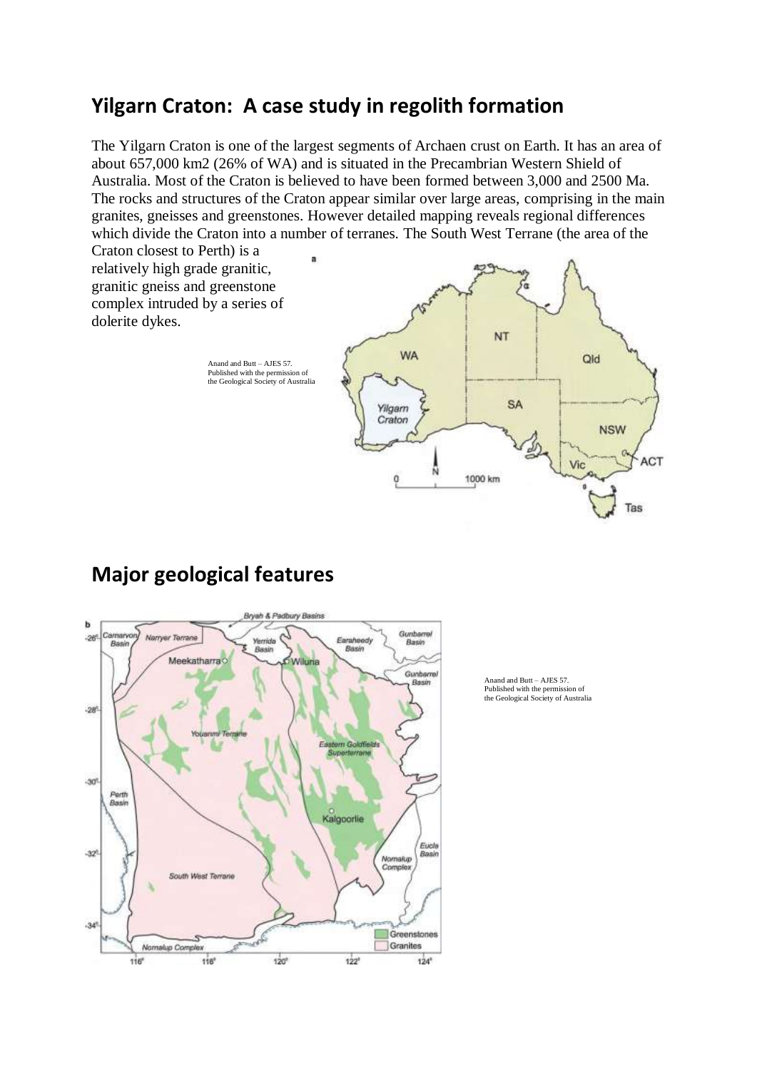## **Yilgarn Craton: A case study in regolith formation**

The Yilgarn Craton is one of the largest segments of Archaen crust on Earth. It has an area of about 657,000 km2 (26% of WA) and is situated in the Precambrian Western Shield of Australia. Most of the Craton is believed to have been formed between 3,000 and 2500 Ma. The rocks and structures of the Craton appear similar over large areas, comprising in the main granites, gneisses and greenstones. However detailed mapping reveals regional differences which divide the Craton into a number of terranes. The South West Terrane (the area of the

Craton closest to Perth) is a relatively high grade granitic, granitic gneiss and greenstone complex intruded by a series of dolerite dykes.



Ъ Gunhamal imarvo  $-24$ **Mains** r Tarra Vierrichs Fara Basi Roo Basin Rock Meekatharra Wiluna Gunberre Basin  $-28$ n Gaidh  $-30^{\circ}$ Perth<br>Basin Kalgoorlie Eucla  $-32$ Basin Nornalup<br>Complex **South West Terrane**  $-34$ Greenstones Granites Nornalup Complex  $120^{\circ}$  $124^{\circ}$ 118  $122^{\circ}$ 116

Brvah & Padbury Basir

# **Major geological features**

Anand and Butt – AJES 57. Published with the permission of the Geological Society of Australia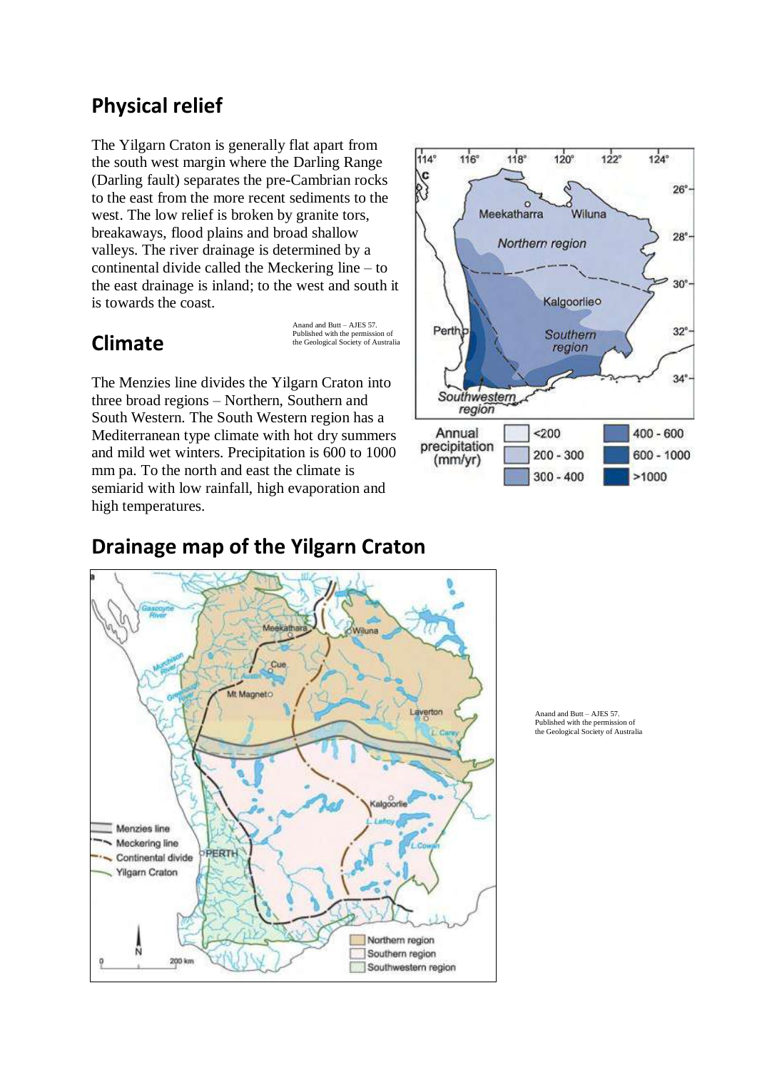## **Physical relief**

The Yilgarn Craton is generally flat apart from the south west margin where the Darling Range (Darling fault) separates the pre-Cambrian rocks to the east from the more recent sediments to the west. The low relief is broken by granite tors, breakaways, flood plains and broad shallow valleys. The river drainage is determined by a continental divide called the Meckering line – to the east drainage is inland; to the west and south it is towards the coast.

## **Climate**

Anand and Butt – AJES 57. Published with the permission of the Geological Society of Australia

The Menzies line divides the Yilgarn Craton into three broad regions – Northern, Southern and South Western. The South Western region has a Mediterranean type climate with hot dry summers and mild wet winters. Precipitation is 600 to 1000 mm pa. To the north and east the climate is semiarid with low rainfall, high evaporation and high temperatures.



## **Drainage map of the Yilgarn Craton**



Anand and Butt – AJES 57. Published with the permission of the Geological Society of Australia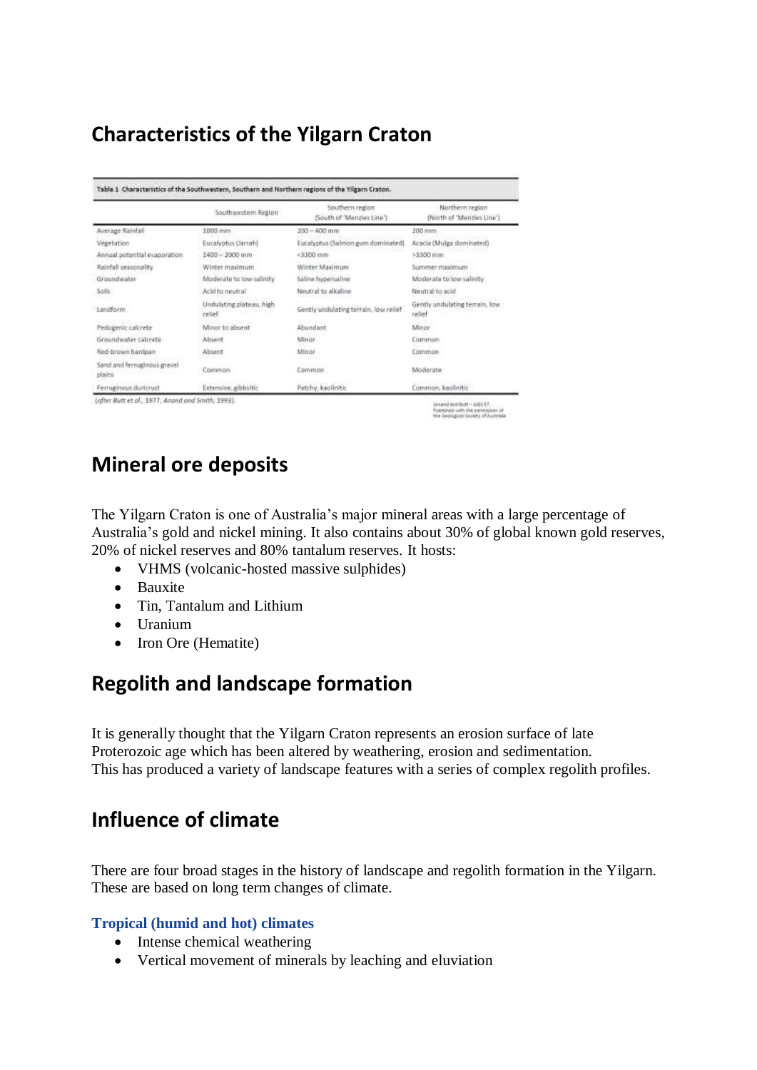# **Characteristics of the Yilgarn Craton**

|                                       | Southwestern Region                 | Southern region<br>(South of 'Menzies Line') | Northern region<br>(North of 'Menzies Line') |
|---------------------------------------|-------------------------------------|----------------------------------------------|----------------------------------------------|
| Average Rainfall                      | 1000 mm                             | $200 - 400$ mm                               | 200 mins                                     |
| Vegetation                            | Euralyptus (Jarrah)                 | Eucalyptus (Salmon gum dominated)            | Acacia (Mulga dominated)                     |
| Annual potential evaporation          | $1400 - 2000$ mm                    | $c3300$ mm                                   | $>3300$ mm.                                  |
| Rainfall seasonality                  | Winter maximum                      | Winter Maximum                               | Summer maximum                               |
| Groundwater                           | Moderate to low salinity            | Saline frypersaline:                         | Moderate to low salinity                     |
| Soils:                                | Acid to neutral                     | Neutral to alkaline                          | Neutral to acid-                             |
| Landform                              | Undulating plateau, high<br>relief. | Gently undulating terrain, low relief        | Gently undulating terrain. Jow<br>relief     |
| Pedogenic calcrete                    | Minor to absent                     | Abundant                                     | Minor                                        |
| Groundwater calcrete                  | Absent                              | Minor                                        | Common.                                      |
| Red-brown handpan                     | Absent                              | Minor                                        | Common                                       |
| Sand and ferruginous gravel<br>plains | Common                              | Common.                                      | Moderate:                                    |
| Femuelnous duricrust                  | Extensive, adbbsitic                | Patchy, kaolinitic                           | Common, kaolinitic.                          |

(Anandaru) Butt - Alf II-57.<br>Fuelshot with the permission of

# **Mineral ore deposits**

The Yilgarn Craton is one of Australia's major mineral areas with a large percentage of Australia's gold and nickel mining. It also contains about 30% of global known gold reserves, 20% of nickel reserves and 80% tantalum reserves. It hosts:

- VHMS (volcanic-hosted massive sulphides)
- Bauxite
- Tin, Tantalum and Lithium
- Uranium
- Iron Ore (Hematite)

# **Regolith and landscape formation**

It is generally thought that the Yilgarn Craton represents an erosion surface of late Proterozoic age which has been altered by weathering, erosion and sedimentation. This has produced a variety of landscape features with a series of complex regolith profiles.

# **Influence of climate**

There are four broad stages in the history of landscape and regolith formation in the Yilgarn. These are based on long term changes of climate.

### **Tropical (humid and hot) climates**

- Intense chemical weathering
- Vertical movement of minerals by leaching and eluviation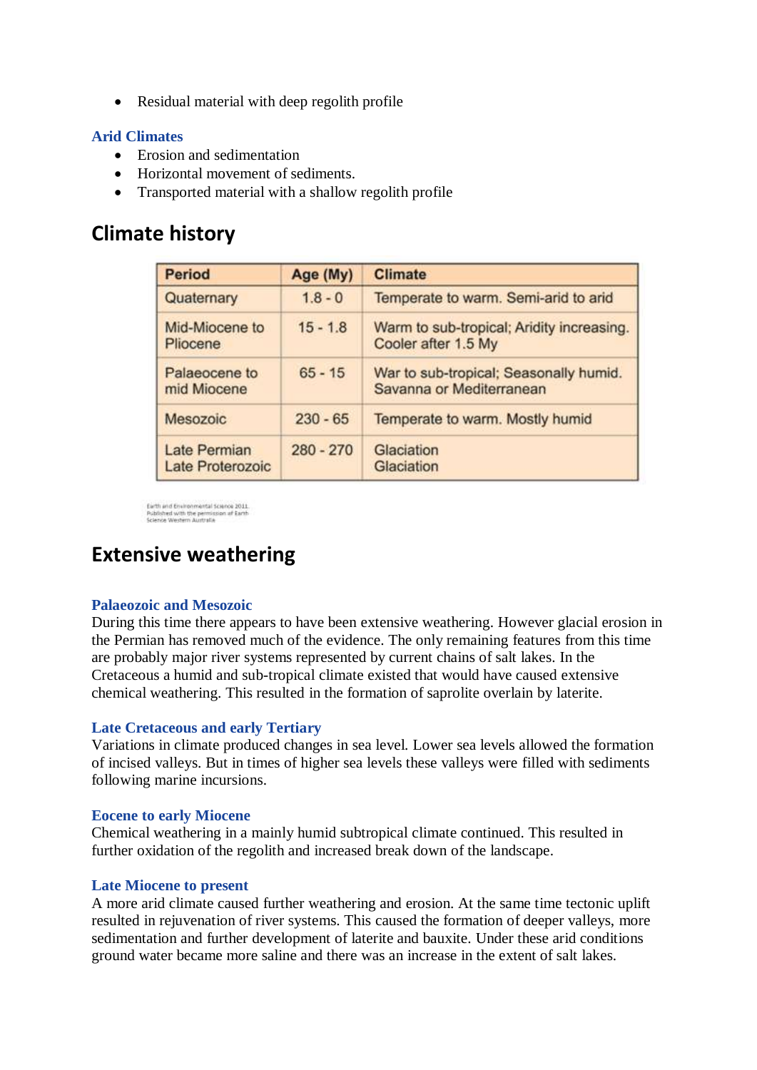• Residual material with deep regolith profile

### **Arid Climates**

- Erosion and sedimentation
- Horizontal movement of sediments.
- Transported material with a shallow regolith profile

## **Climate history**

| <b>Period</b>                    | Age (My)    | <b>Climate</b>                                                     |  |
|----------------------------------|-------------|--------------------------------------------------------------------|--|
| Quaternary                       | $1.8 - 0$   | Temperate to warm. Semi-arid to arid                               |  |
| Mid-Miocene to<br>Pliocene       | $15 - 1.8$  | Warm to sub-tropical; Aridity increasing.<br>Cooler after 1.5 My   |  |
| Palaeocene to<br>mid Miocene     | $65 - 15$   | War to sub-tropical; Seasonally humid.<br>Savanna or Mediterranean |  |
| Mesozoic                         | $230 - 65$  | Temperate to warm. Mostly humid                                    |  |
| Late Permian<br>Late Proterozoic | $280 - 270$ | Glaciation<br>Glaciation                                           |  |

Earth and Environmental Science 2011<br>Published with the permission of Earth<br>Science Western Australia

## **Extensive weathering**

### **Palaeozoic and Mesozoic**

During this time there appears to have been extensive weathering. However glacial erosion in the Permian has removed much of the evidence. The only remaining features from this time are probably major river systems represented by current chains of salt lakes. In the Cretaceous a humid and sub-tropical climate existed that would have caused extensive chemical weathering. This resulted in the formation of saprolite overlain by laterite.

### **Late Cretaceous and early Tertiary**

Variations in climate produced changes in sea level. Lower sea levels allowed the formation of incised valleys. But in times of higher sea levels these valleys were filled with sediments following marine incursions.

#### **Eocene to early Miocene**

Chemical weathering in a mainly humid subtropical climate continued. This resulted in further oxidation of the regolith and increased break down of the landscape.

#### **Late Miocene to present**

A more arid climate caused further weathering and erosion. At the same time tectonic uplift resulted in rejuvenation of river systems. This caused the formation of deeper valleys, more sedimentation and further development of laterite and bauxite. Under these arid conditions ground water became more saline and there was an increase in the extent of salt lakes.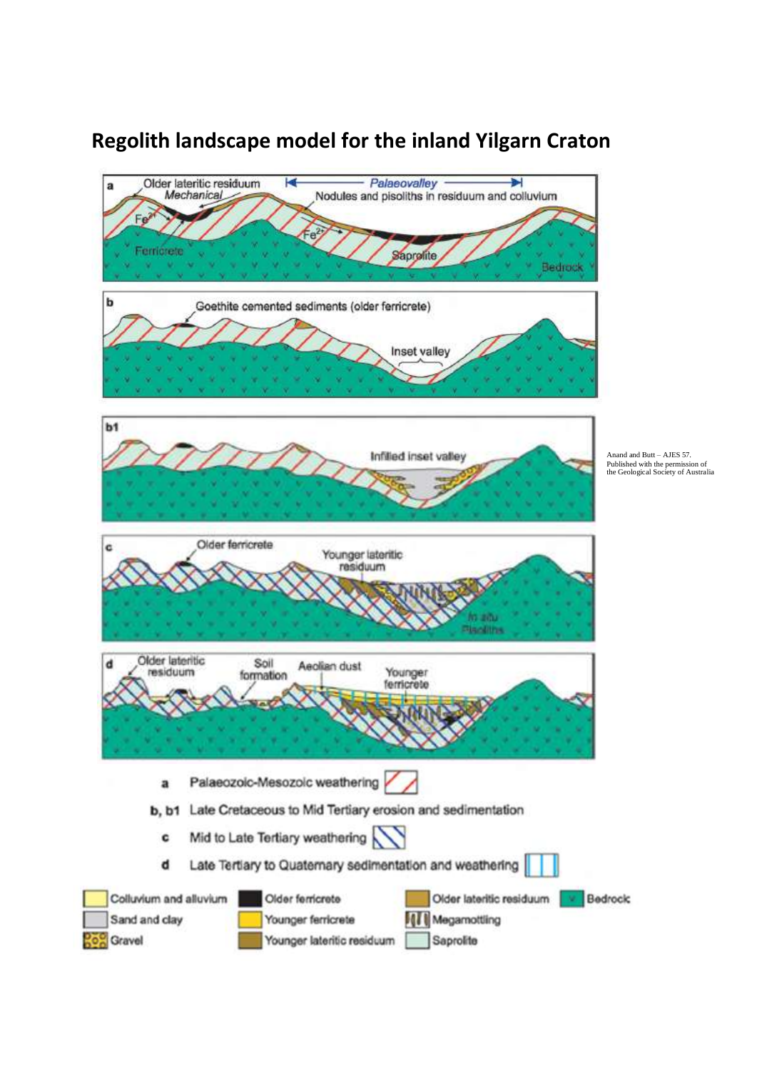# **Regolith landscape model for the inland Yilgarn Craton**

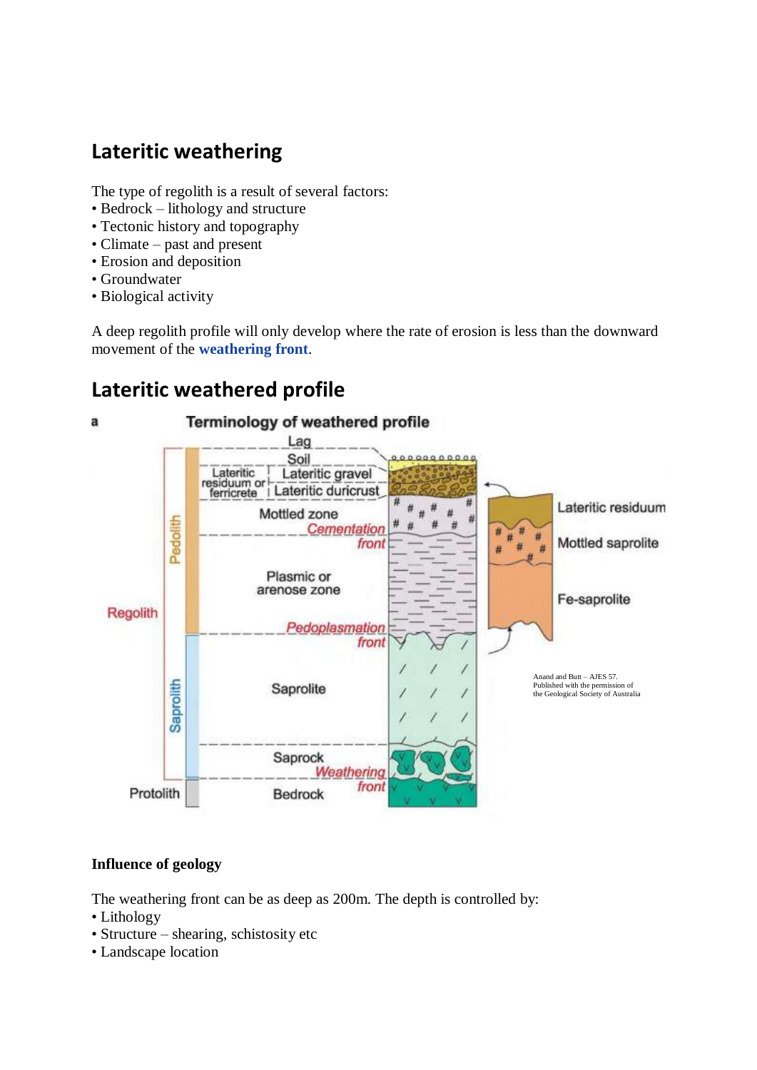# **Lateritic weathering**

The type of regolith is a result of several factors:

- Bedrock lithology and structure
- Tectonic history and topography
- Climate past and present
- Erosion and deposition
- Groundwater
- Biological activity

A deep regolith profile will only develop where the rate of erosion is less than the downward movement of the **weathering front**.

## **Lateritic weathered profile**



### **Influence of geology**

The weathering front can be as deep as 200m. The depth is controlled by:

- Lithology
- Structure shearing, schistosity etc
- Landscape location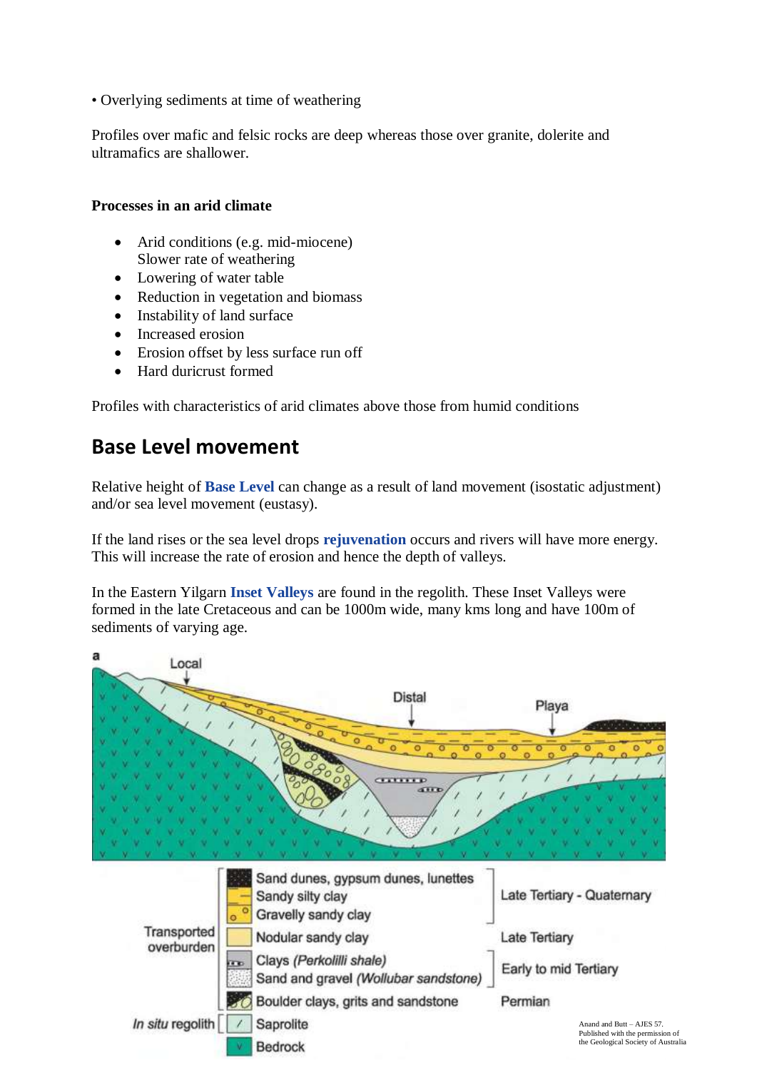• Overlying sediments at time of weathering

Profiles over mafic and felsic rocks are deep whereas those over granite, dolerite and ultramafics are shallower.

### **Processes in an arid climate**

- Arid conditions (e.g. mid-miocene) Slower rate of weathering
- Lowering of water table
- Reduction in vegetation and biomass
- Instability of land surface
- Increased erosion
- Erosion offset by less surface run off
- Hard duricrust formed

Profiles with characteristics of arid climates above those from humid conditions

### **Base Level movement**

Relative height of **Base Level** can change as a result of land movement (isostatic adjustment) and/or sea level movement (eustasy).

If the land rises or the sea level drops **rejuvenation** occurs and rivers will have more energy. This will increase the rate of erosion and hence the depth of valleys.

In the Eastern Yilgarn **Inset Valleys** are found in the regolith. These Inset Valleys were formed in the late Cretaceous and can be 1000m wide, many kms long and have 100m of sediments of varying age.

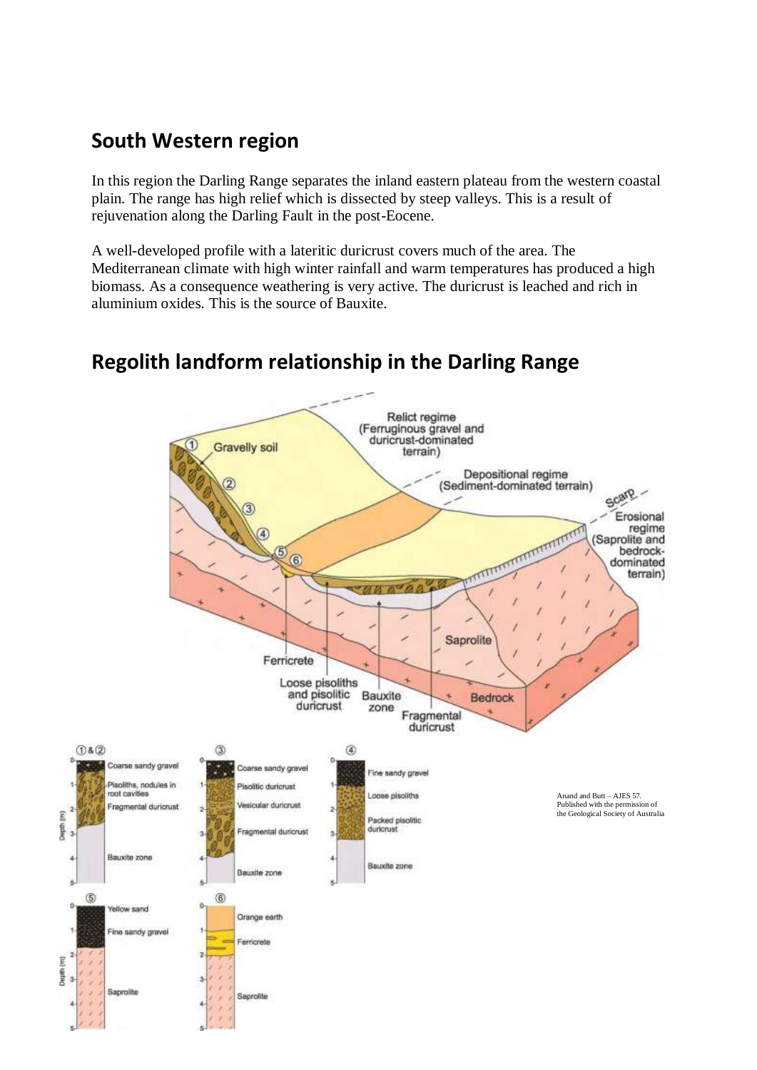# **South Western region**

In this region the Darling Range separates the inland eastern plateau from the western coastal plain. The range has high relief which is dissected by steep valleys. This is a result of rejuvenation along the Darling Fault in the post-Eocene.

A well-developed profile with a lateritic duricrust covers much of the area. The Mediterranean climate with high winter rainfall and warm temperatures has produced a high biomass. As a consequence weathering is very active. The duricrust is leached and rich in aluminium oxides. This is the source of Bauxite.



# **Regolith landform relationship in the Darling Range**